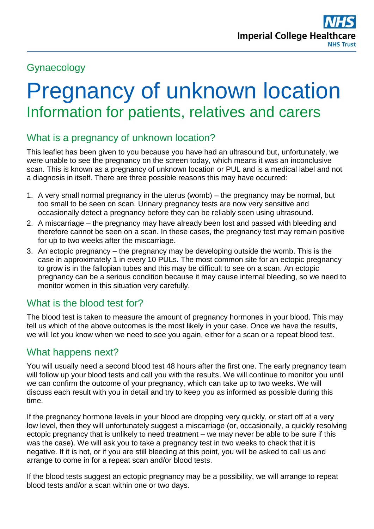# Gynaecology

# Pregnancy of unknown location Information for patients, relatives and carers

## What is a pregnancy of unknown location?

This leaflet has been given to you because you have had an ultrasound but, unfortunately, we were unable to see the pregnancy on the screen today, which means it was an inconclusive scan. This is known as a pregnancy of unknown location or PUL and is a medical label and not a diagnosis in itself. There are three possible reasons this may have occurred:

- 1. A very small normal pregnancy in the uterus (womb) the pregnancy may be normal, but too small to be seen on scan. Urinary pregnancy tests are now very sensitive and occasionally detect a pregnancy before they can be reliably seen using ultrasound.
- 2. A miscarriage the pregnancy may have already been lost and passed with bleeding and therefore cannot be seen on a scan. In these cases, the pregnancy test may remain positive for up to two weeks after the miscarriage.
- 3. An ectopic pregnancy the pregnancy may be developing outside the womb. This is the case in approximately 1 in every 10 PULs. The most common site for an ectopic pregnancy to grow is in the fallopian tubes and this may be difficult to see on a scan. An ectopic pregnancy can be a serious condition because it may cause internal bleeding, so we need to monitor women in this situation very carefully.

## What is the blood test for?

The blood test is taken to measure the amount of pregnancy hormones in your blood. This may tell us which of the above outcomes is the most likely in your case. Once we have the results, we will let you know when we need to see you again, either for a scan or a repeat blood test.

#### What happens next?

You will usually need a second blood test 48 hours after the first one. The early pregnancy team will follow up your blood tests and call you with the results. We will continue to monitor you until we can confirm the outcome of your pregnancy, which can take up to two weeks. We will discuss each result with you in detail and try to keep you as informed as possible during this time.

If the pregnancy hormone levels in your blood are dropping very quickly, or start off at a very low level, then they will unfortunately suggest a miscarriage (or, occasionally, a quickly resolving ectopic pregnancy that is unlikely to need treatment – we may never be able to be sure if this was the case). We will ask you to take a pregnancy test in two weeks to check that it is negative. If it is not, or if you are still bleeding at this point, you will be asked to call us and arrange to come in for a repeat scan and/or blood tests.

If the blood tests suggest an ectopic pregnancy may be a possibility, we will arrange to repeat blood tests and/or a scan within one or two days.